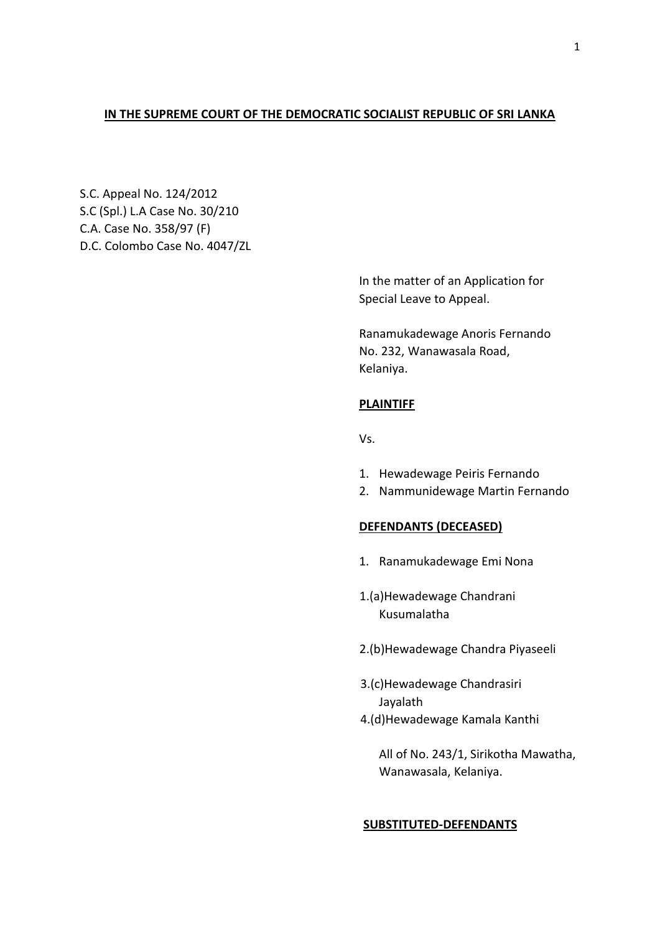### **IN THE SUPREME COURT OF THE DEMOCRATIC SOCIALIST REPUBLIC OF SRI LANKA**

S.C. Appeal No. 124/2012 S.C (Spl.) L.A Case No. 30/210 C.A. Case No. 358/97 (F) D.C. Colombo Case No. 4047/ZL

> In the matter of an Application for Special Leave to Appeal.

Ranamukadewage Anoris Fernando No. 232, Wanawasala Road, Kelaniya.

### **PLAINTIFF**

Vs.

- 1. Hewadewage Peiris Fernando
- 2. Nammunidewage Martin Fernando

### **DEFENDANTS (DECEASED)**

- 1. Ranamukadewage Emi Nona
- 1.(a)Hewadewage Chandrani Kusumalatha
- 2.(b)Hewadewage Chandra Piyaseeli
- 3.(c)Hewadewage Chandrasiri Jayalath
- 4.(d)Hewadewage Kamala Kanthi

All of No. 243/1, Sirikotha Mawatha, Wanawasala, Kelaniya.

### **SUBSTITUTED-DEFENDANTS**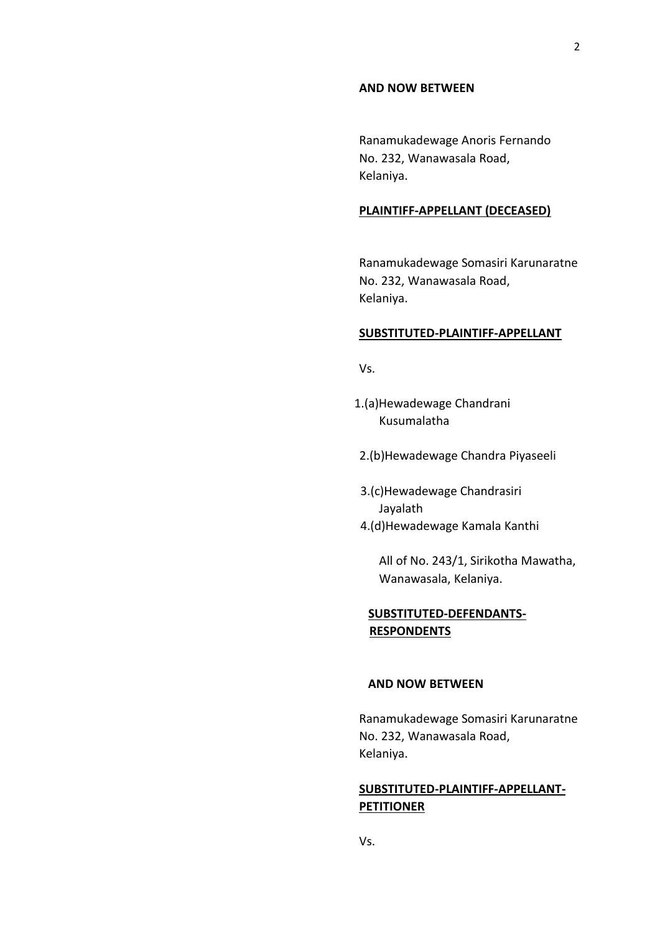#### **AND NOW BETWEEN**

Ranamukadewage Anoris Fernando No. 232, Wanawasala Road, Kelaniya.

### **PLAINTIFF-APPELLANT (DECEASED)**

Ranamukadewage Somasiri Karunaratne No. 232, Wanawasala Road, Kelaniya.

### **SUBSTITUTED-PLAINTIFF-APPELLANT**

Vs.

- 1.(a)Hewadewage Chandrani Kusumalatha
- 2.(b)Hewadewage Chandra Piyaseeli
- 3.(c)Hewadewage Chandrasiri Jayalath
- 4.(d)Hewadewage Kamala Kanthi

All of No. 243/1, Sirikotha Mawatha, Wanawasala, Kelaniya.

# **SUBSTITUTED-DEFENDANTS- RESPONDENTS**

#### **AND NOW BETWEEN**

Ranamukadewage Somasiri Karunaratne No. 232, Wanawasala Road, Kelaniya.

# **SUBSTITUTED-PLAINTIFF-APPELLANT-PETITIONER**

Vs.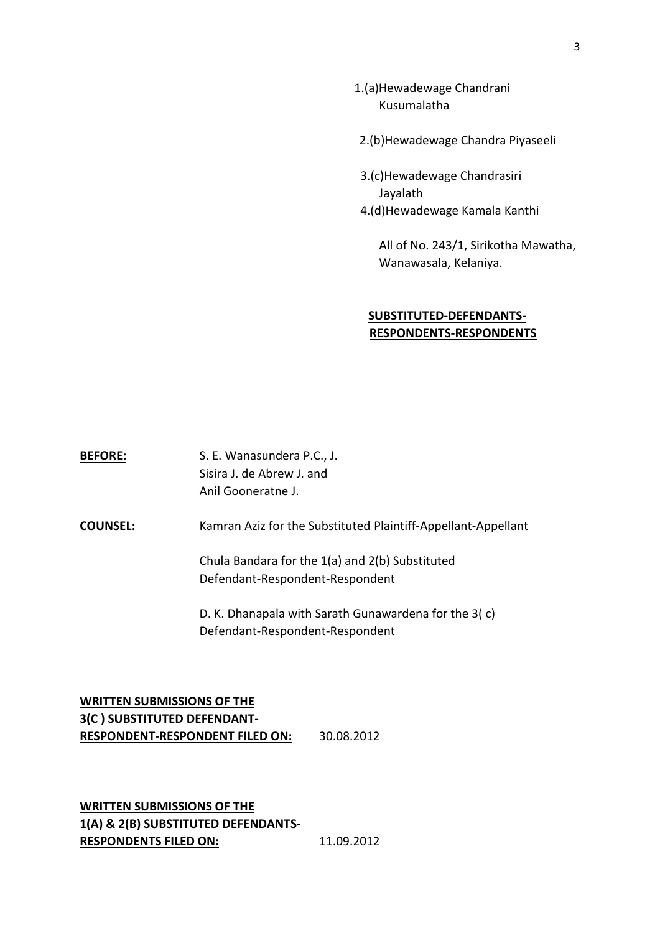- 1.(a)Hewadewage Chandrani Kusumalatha
- 2.(b)Hewadewage Chandra Piyaseeli
- 3.(c)Hewadewage Chandrasiri Jayalath 4.(d)Hewadewage Kamala Kanthi

All of No. 243/1, Sirikotha Mawatha, Wanawasala, Kelaniya.

## **SUBSTITUTED-DEFENDANTS- RESPONDENTS-RESPONDENTS**

BEFORE: S. E. Wanasundera P.C., J. Sisira J. de Abrew J. and Anil Gooneratne J.

**COUNSEL:** Kamran Aziz for the Substituted Plaintiff-Appellant-Appellant

Chula Bandara for the 1(a) and 2(b) Substituted Defendant-Respondent-Respondent

D. K. Dhanapala with Sarath Gunawardena for the 3( c) Defendant-Respondent-Respondent

**WRITTEN SUBMISSIONS OF THE 3(C ) SUBSTITUTED DEFENDANT-RESPONDENT-RESPONDENT FILED ON:** 30.08.2012

**WRITTEN SUBMISSIONS OF THE 1(A) & 2(B) SUBSTITUTED DEFENDANTS-RESPONDENTS FILED ON:** 11.09.2012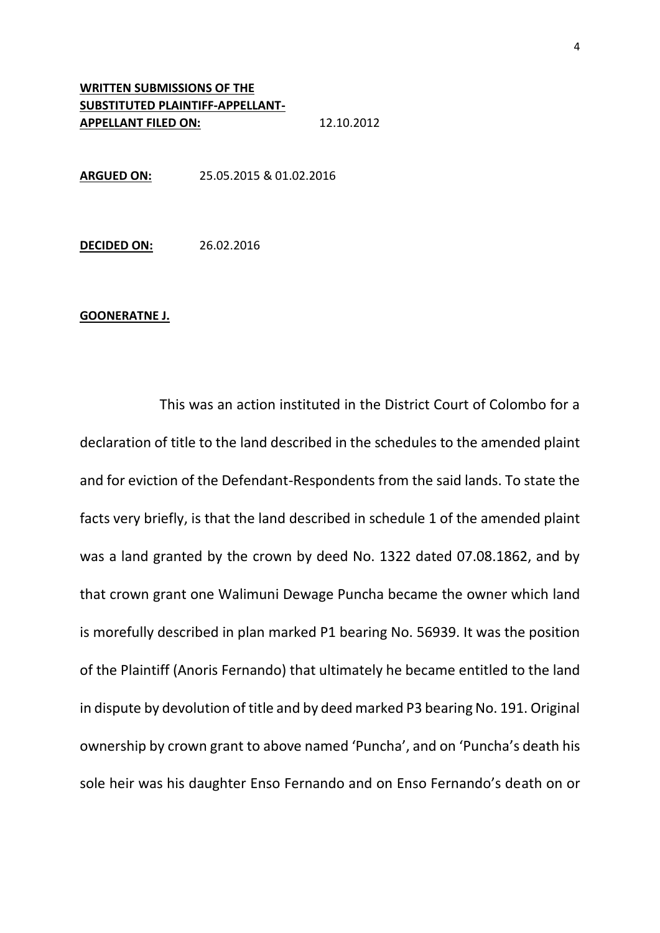# **WRITTEN SUBMISSIONS OF THE SUBSTITUTED PLAINTIFF-APPELLANT-APPELLANT FILED ON:** 12.10.2012

**ARGUED ON:** 25.05.2015 & 01.02.2016

**DECIDED ON:** 26.02.2016

#### **GOONERATNE J.**

This was an action instituted in the District Court of Colombo for a declaration of title to the land described in the schedules to the amended plaint and for eviction of the Defendant-Respondents from the said lands. To state the facts very briefly, is that the land described in schedule 1 of the amended plaint was a land granted by the crown by deed No. 1322 dated 07.08.1862, and by that crown grant one Walimuni Dewage Puncha became the owner which land is morefully described in plan marked P1 bearing No. 56939. It was the position of the Plaintiff (Anoris Fernando) that ultimately he became entitled to the land in dispute by devolution of title and by deed marked P3 bearing No. 191. Original ownership by crown grant to above named 'Puncha', and on 'Puncha's death his sole heir was his daughter Enso Fernando and on Enso Fernando's death on or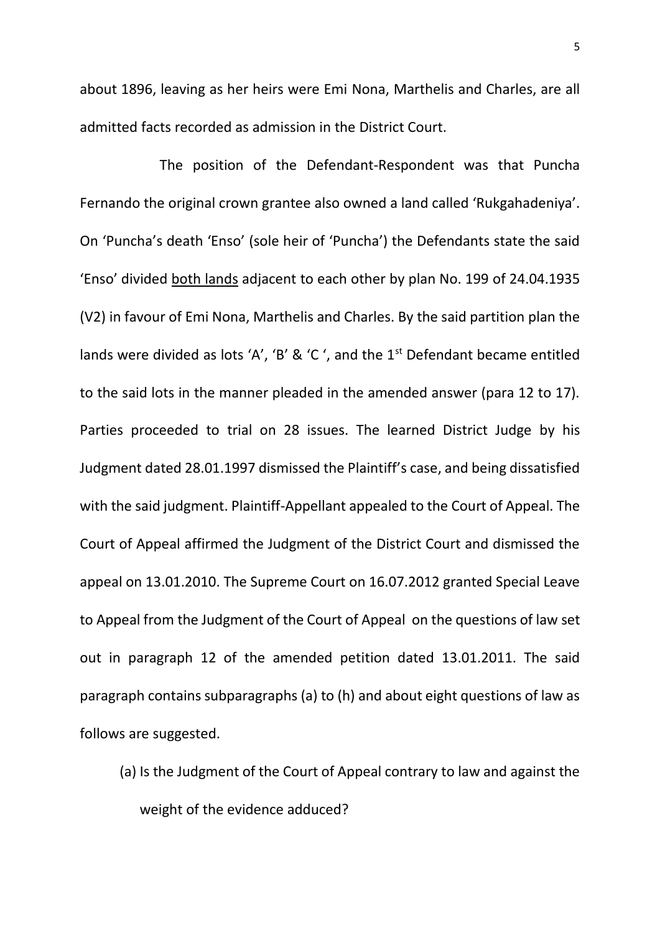about 1896, leaving as her heirs were Emi Nona, Marthelis and Charles, are all admitted facts recorded as admission in the District Court.

The position of the Defendant-Respondent was that Puncha Fernando the original crown grantee also owned a land called 'Rukgahadeniya'. On 'Puncha's death 'Enso' (sole heir of 'Puncha') the Defendants state the said 'Enso' divided both lands adjacent to each other by plan No. 199 of 24.04.1935 (V2) in favour of Emi Nona, Marthelis and Charles. By the said partition plan the lands were divided as lots 'A', 'B' & 'C', and the  $1<sup>st</sup>$  Defendant became entitled to the said lots in the manner pleaded in the amended answer (para 12 to 17). Parties proceeded to trial on 28 issues. The learned District Judge by his Judgment dated 28.01.1997 dismissed the Plaintiff's case, and being dissatisfied with the said judgment. Plaintiff-Appellant appealed to the Court of Appeal. The Court of Appeal affirmed the Judgment of the District Court and dismissed the appeal on 13.01.2010. The Supreme Court on 16.07.2012 granted Special Leave to Appeal from the Judgment of the Court of Appeal on the questions of law set out in paragraph 12 of the amended petition dated 13.01.2011. The said paragraph contains subparagraphs (a) to (h) and about eight questions of law as follows are suggested.

(a) Is the Judgment of the Court of Appeal contrary to law and against the weight of the evidence adduced?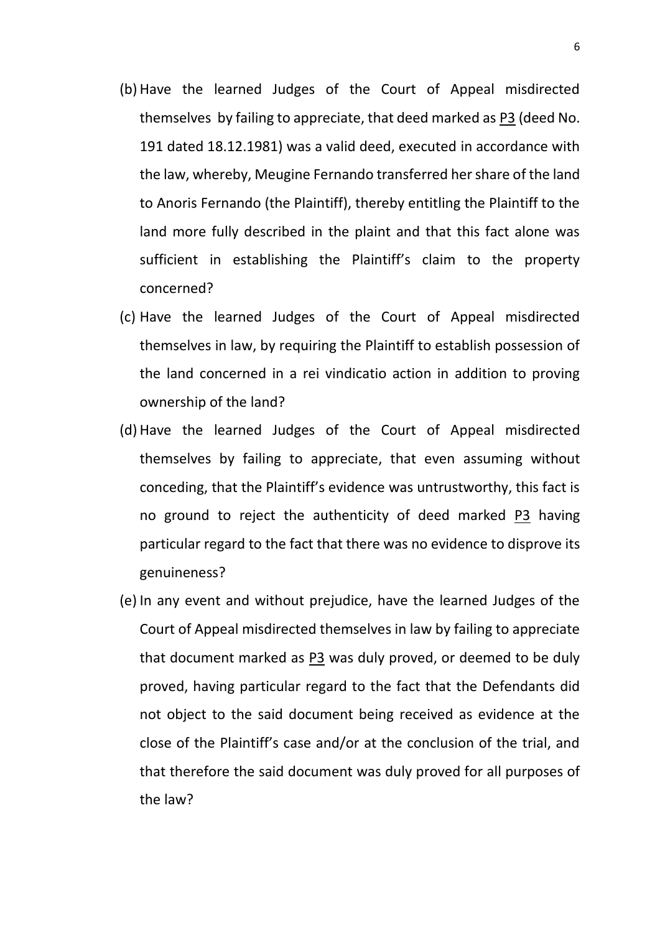- (b)Have the learned Judges of the Court of Appeal misdirected themselves by failing to appreciate, that deed marked as P3 (deed No. 191 dated 18.12.1981) was a valid deed, executed in accordance with the law, whereby, Meugine Fernando transferred her share of the land to Anoris Fernando (the Plaintiff), thereby entitling the Plaintiff to the land more fully described in the plaint and that this fact alone was sufficient in establishing the Plaintiff's claim to the property concerned?
- (c) Have the learned Judges of the Court of Appeal misdirected themselves in law, by requiring the Plaintiff to establish possession of the land concerned in a rei vindicatio action in addition to proving ownership of the land?
- (d)Have the learned Judges of the Court of Appeal misdirected themselves by failing to appreciate, that even assuming without conceding, that the Plaintiff's evidence was untrustworthy, this fact is no ground to reject the authenticity of deed marked P3 having particular regard to the fact that there was no evidence to disprove its genuineness?
- (e) In any event and without prejudice, have the learned Judges of the Court of Appeal misdirected themselves in law by failing to appreciate that document marked as P3 was duly proved, or deemed to be duly proved, having particular regard to the fact that the Defendants did not object to the said document being received as evidence at the close of the Plaintiff's case and/or at the conclusion of the trial, and that therefore the said document was duly proved for all purposes of the law?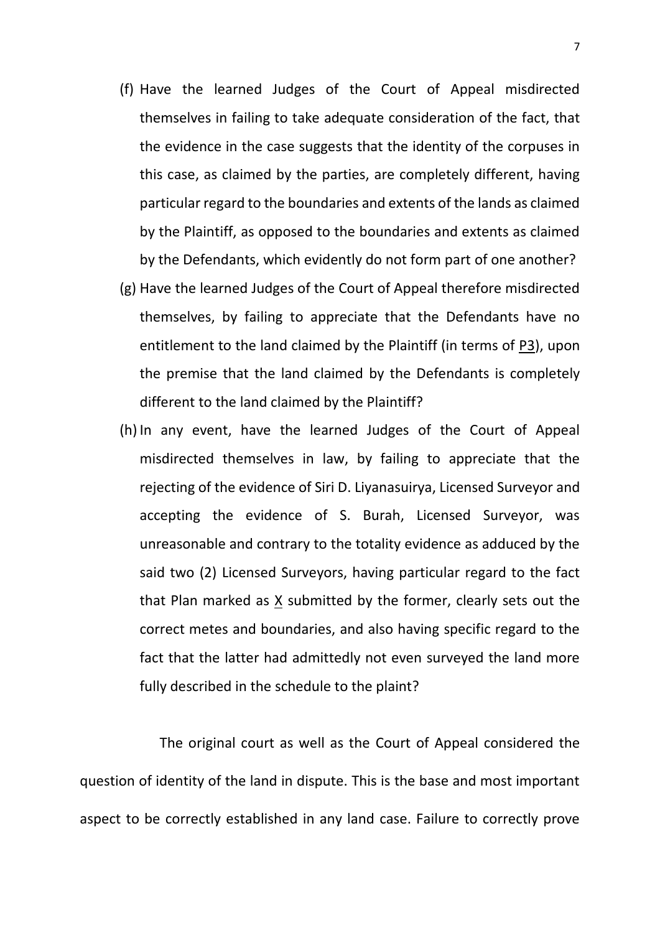- (f) Have the learned Judges of the Court of Appeal misdirected themselves in failing to take adequate consideration of the fact, that the evidence in the case suggests that the identity of the corpuses in this case, as claimed by the parties, are completely different, having particular regard to the boundaries and extents of the lands as claimed by the Plaintiff, as opposed to the boundaries and extents as claimed by the Defendants, which evidently do not form part of one another?
- (g) Have the learned Judges of the Court of Appeal therefore misdirected themselves, by failing to appreciate that the Defendants have no entitlement to the land claimed by the Plaintiff (in terms of P3), upon the premise that the land claimed by the Defendants is completely different to the land claimed by the Plaintiff?
- (h)In any event, have the learned Judges of the Court of Appeal misdirected themselves in law, by failing to appreciate that the rejecting of the evidence of Siri D. Liyanasuirya, Licensed Surveyor and accepting the evidence of S. Burah, Licensed Surveyor, was unreasonable and contrary to the totality evidence as adduced by the said two (2) Licensed Surveyors, having particular regard to the fact that Plan marked as X submitted by the former, clearly sets out the correct metes and boundaries, and also having specific regard to the fact that the latter had admittedly not even surveyed the land more fully described in the schedule to the plaint?

The original court as well as the Court of Appeal considered the question of identity of the land in dispute. This is the base and most important aspect to be correctly established in any land case. Failure to correctly prove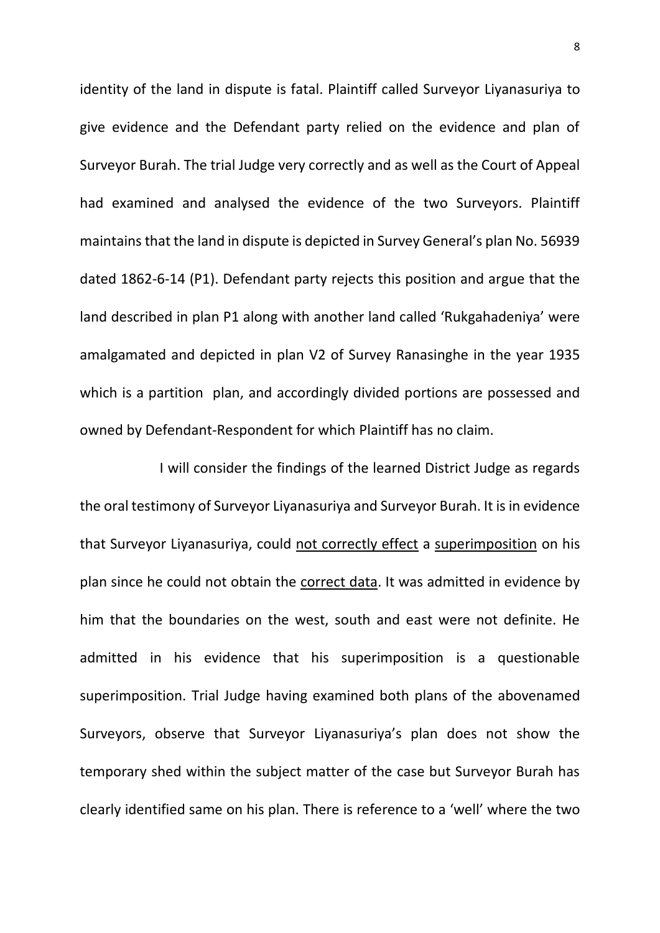identity of the land in dispute is fatal. Plaintiff called Surveyor Liyanasuriya to give evidence and the Defendant party relied on the evidence and plan of Surveyor Burah. The trial Judge very correctly and as well as the Court of Appeal had examined and analysed the evidence of the two Surveyors. Plaintiff maintains that the land in dispute is depicted in Survey General's plan No. 56939 dated 1862-6-14 (P1). Defendant party rejects this position and argue that the land described in plan P1 along with another land called 'Rukgahadeniya' were amalgamated and depicted in plan V2 of Survey Ranasinghe in the year 1935 which is a partition plan, and accordingly divided portions are possessed and owned by Defendant-Respondent for which Plaintiff has no claim.

I will consider the findings of the learned District Judge as regards the oral testimony of Surveyor Liyanasuriya and Surveyor Burah. It is in evidence that Surveyor Liyanasuriya, could not correctly effect a superimposition on his plan since he could not obtain the correct data. It was admitted in evidence by him that the boundaries on the west, south and east were not definite. He admitted in his evidence that his superimposition is a questionable superimposition. Trial Judge having examined both plans of the abovenamed Surveyors, observe that Surveyor Liyanasuriya's plan does not show the temporary shed within the subject matter of the case but Surveyor Burah has clearly identified same on his plan. There is reference to a 'well' where the two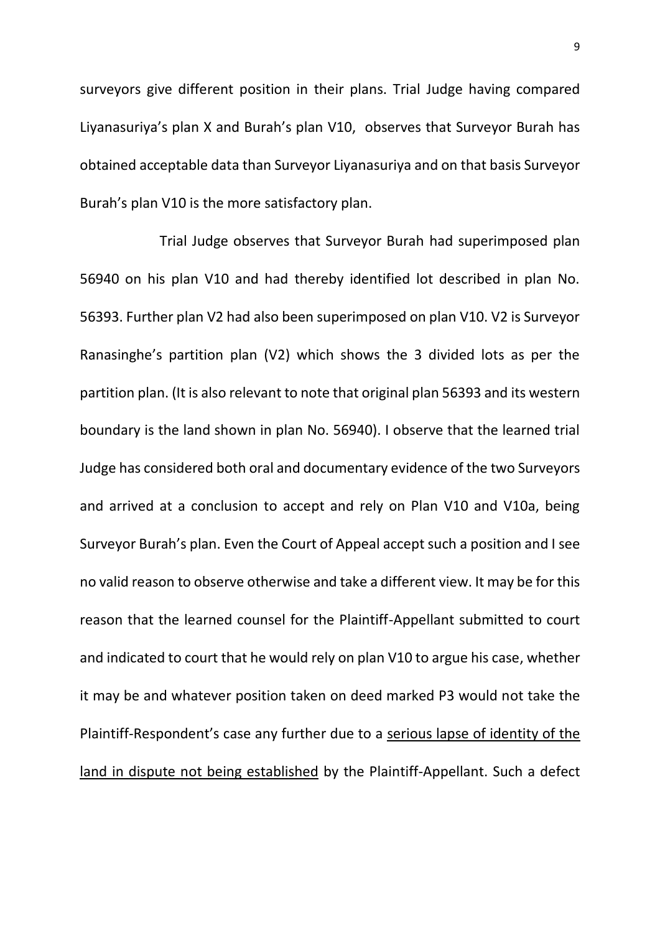surveyors give different position in their plans. Trial Judge having compared Liyanasuriya's plan X and Burah's plan V10, observes that Surveyor Burah has obtained acceptable data than Surveyor Liyanasuriya and on that basis Surveyor Burah's plan V10 is the more satisfactory plan.

Trial Judge observes that Surveyor Burah had superimposed plan 56940 on his plan V10 and had thereby identified lot described in plan No. 56393. Further plan V2 had also been superimposed on plan V10. V2 is Surveyor Ranasinghe's partition plan (V2) which shows the 3 divided lots as per the partition plan. (It is also relevant to note that original plan 56393 and its western boundary is the land shown in plan No. 56940). I observe that the learned trial Judge has considered both oral and documentary evidence of the two Surveyors and arrived at a conclusion to accept and rely on Plan V10 and V10a, being Surveyor Burah's plan. Even the Court of Appeal accept such a position and I see no valid reason to observe otherwise and take a different view. It may be for this reason that the learned counsel for the Plaintiff-Appellant submitted to court and indicated to court that he would rely on plan V10 to argue his case, whether it may be and whatever position taken on deed marked P3 would not take the Plaintiff-Respondent's case any further due to a serious lapse of identity of the land in dispute not being established by the Plaintiff-Appellant. Such a defect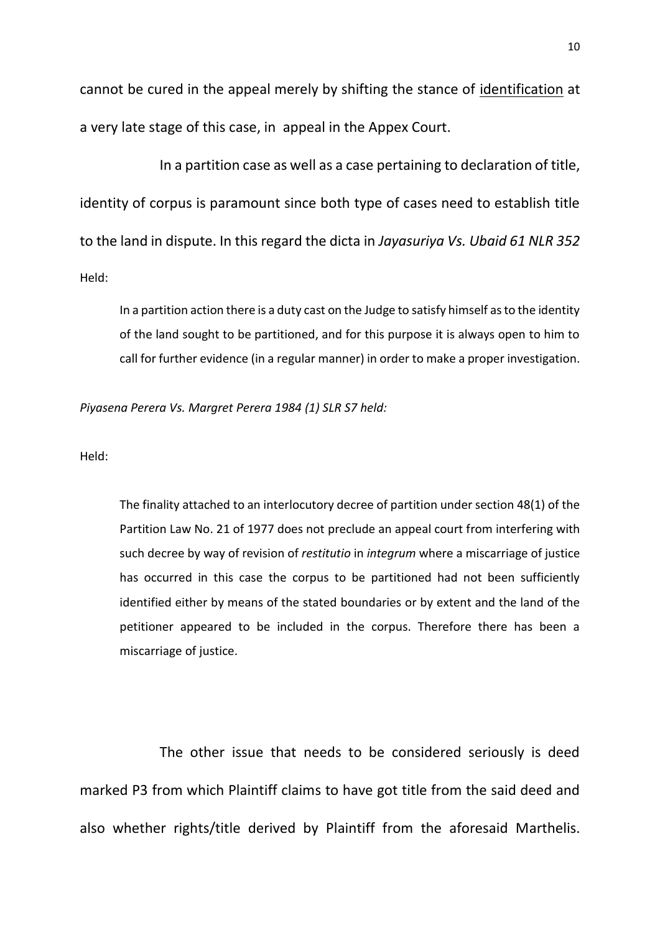cannot be cured in the appeal merely by shifting the stance of identification at a very late stage of this case, in appeal in the Appex Court.

In a partition case as well as a case pertaining to declaration of title, identity of corpus is paramount since both type of cases need to establish title to the land in dispute. In this regard the dicta in *Jayasuriya Vs. Ubaid 61 NLR 352* Held:

In a partition action there is a duty cast on the Judge to satisfy himself as to the identity of the land sought to be partitioned, and for this purpose it is always open to him to call for further evidence (in a regular manner) in order to make a proper investigation.

*Piyasena Perera Vs. Margret Perera 1984 (1) SLR S7 held:*

Held:

The finality attached to an interlocutory decree of partition under section 48(1) of the Partition Law No. 21 of 1977 does not preclude an appeal court from interfering with such decree by way of revision of *restitutio* in *integrum* where a miscarriage of justice has occurred in this case the corpus to be partitioned had not been sufficiently identified either by means of the stated boundaries or by extent and the land of the petitioner appeared to be included in the corpus. Therefore there has been a miscarriage of justice.

The other issue that needs to be considered seriously is deed marked P3 from which Plaintiff claims to have got title from the said deed and also whether rights/title derived by Plaintiff from the aforesaid Marthelis.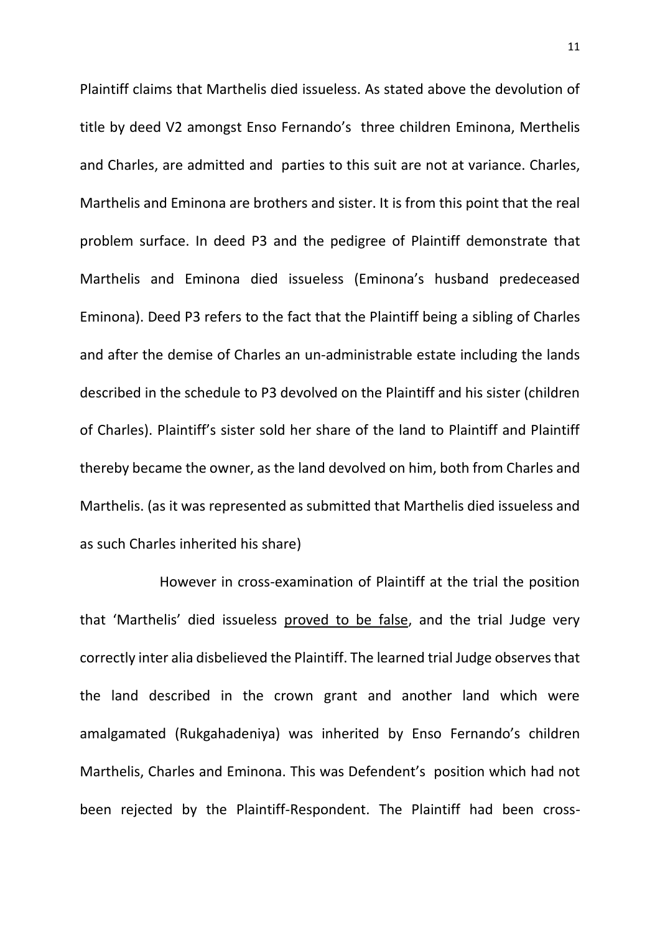Plaintiff claims that Marthelis died issueless. As stated above the devolution of title by deed V2 amongst Enso Fernando's three children Eminona, Merthelis and Charles, are admitted and parties to this suit are not at variance. Charles, Marthelis and Eminona are brothers and sister. It is from this point that the real problem surface. In deed P3 and the pedigree of Plaintiff demonstrate that Marthelis and Eminona died issueless (Eminona's husband predeceased Eminona). Deed P3 refers to the fact that the Plaintiff being a sibling of Charles and after the demise of Charles an un-administrable estate including the lands described in the schedule to P3 devolved on the Plaintiff and his sister (children of Charles). Plaintiff's sister sold her share of the land to Plaintiff and Plaintiff thereby became the owner, as the land devolved on him, both from Charles and Marthelis. (as it was represented as submitted that Marthelis died issueless and as such Charles inherited his share)

However in cross-examination of Plaintiff at the trial the position that 'Marthelis' died issueless proved to be false, and the trial Judge very correctly inter alia disbelieved the Plaintiff. The learned trial Judge observes that the land described in the crown grant and another land which were amalgamated (Rukgahadeniya) was inherited by Enso Fernando's children Marthelis, Charles and Eminona. This was Defendent's position which had not been rejected by the Plaintiff-Respondent. The Plaintiff had been cross-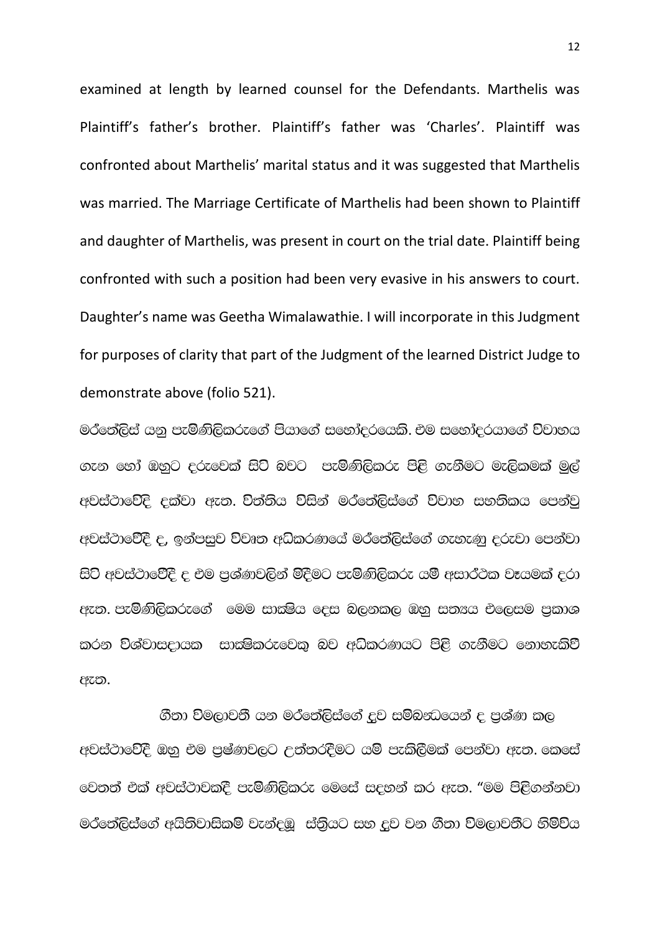examined at length by learned counsel for the Defendants. Marthelis was Plaintiff's father's brother. Plaintiff's father was 'Charles'. Plaintiff was confronted about Marthelis' marital status and it was suggested that Marthelis was married. The Marriage Certificate of Marthelis had been shown to Plaintiff and daughter of Marthelis, was present in court on the trial date. Plaintiff being confronted with such a position had been very evasive in his answers to court. Daughter's name was Geetha Wimalawathie. I will incorporate in this Judgment for purposes of clarity that part of the Judgment of the learned District Judge to demonstrate above (folio 521).

මරීතේලිස් යනු පැමිණිලිකරුගේ පියාගේ සහෝදරයෙකි. එම සහෝදරයාගේ විවාහය .ex හෝ ඔහුට දරුවෙක් සිටි බවට පැමිණිලිකරු පිළි ගැනීමට මැලිකමක් මුල් අවස්ථාවේදි දක්වා ඇත. විත්තිය විසින් මර්තේලිස්ගේ විවාහ සහතිකය පෙන්වු අවස්ථාවේදී ද, ඉන්පසුව විවෘත අධිකරණයේ මර්තේලිස්ගේ ගැහැණු දරුවා පෙන්වා සිටි අවස්ථාවේදී ද එම පුශ්ණවලින් මිදීමට පැමිණිලිකරු යම් අසාර්ථක වෑයමක් දරා අැත. පැමිණිලිකරුගේ මෙම සාක්ෂිය දෙස බලනකල ඹනු සත¤ය එලෙසම පුකාශ mරන විශ්වාසදායක සාක්ෂිකරුවෙකු බව අධිකරණයට පිළි ගැනීමට නොහැකිවී ඇත.

ගීතා විමලාවතී යන මර්තේලිස්ගේ දූව සම්බන්ධයෙන් ද පුශ්ණ කල අවස්ථාවේදී ඔහු එම පුෂ්ණවලට උත්තරදීමට යම් පැකිලීමක් පෙන්වා ඇත. කෙසේ @වතත් එක් අවස්ථාවකදී පැමිණිලිකරු මෙසේ සදහන් කර ඇත. "මම පිළිගන්නවා මරීතේලිස්ගේ අයිතිවාසිකම් වැන්දඹූ ස්තියට සහ දූව වන ගීතා විමලාවතීට හිමිවිය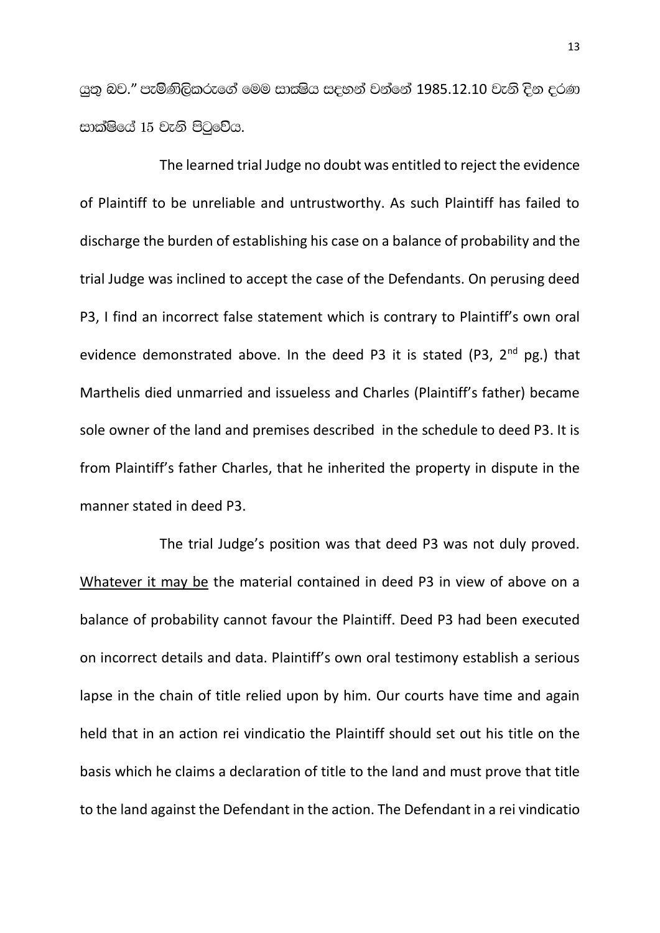යුතු බව." පැමිණිලිකරුගේ මෙම සාක්ෂිය සදහන් වන්නේ 1985.12.10 වැනි දින දරණ සාක්ෂියේ 15 වැනි පිටුවේය.

The learned trial Judge no doubt was entitled to reject the evidence of Plaintiff to be unreliable and untrustworthy. As such Plaintiff has failed to discharge the burden of establishing his case on a balance of probability and the trial Judge was inclined to accept the case of the Defendants. On perusing deed P3, I find an incorrect false statement which is contrary to Plaintiff's own oral evidence demonstrated above. In the deed P3 it is stated (P3,  $2^{nd}$  pg.) that Marthelis died unmarried and issueless and Charles (Plaintiff's father) became sole owner of the land and premises described in the schedule to deed P3. It is from Plaintiff's father Charles, that he inherited the property in dispute in the manner stated in deed P3.

The trial Judge's position was that deed P3 was not duly proved. Whatever it may be the material contained in deed P3 in view of above on a balance of probability cannot favour the Plaintiff. Deed P3 had been executed on incorrect details and data. Plaintiff's own oral testimony establish a serious lapse in the chain of title relied upon by him. Our courts have time and again held that in an action rei vindicatio the Plaintiff should set out his title on the basis which he claims a declaration of title to the land and must prove that title to the land against the Defendant in the action. The Defendant in a rei vindicatio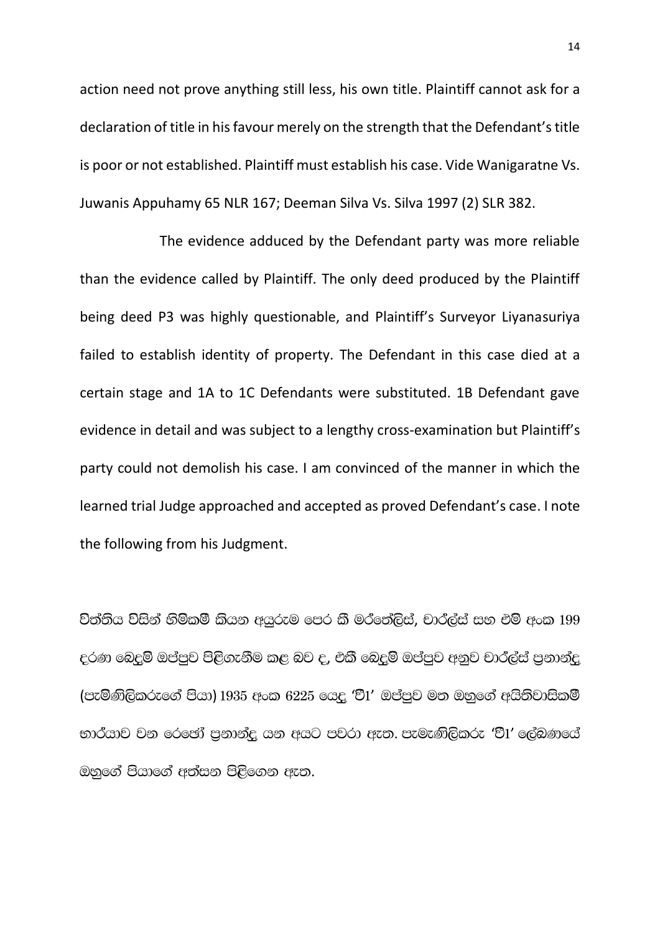action need not prove anything still less, his own title. Plaintiff cannot ask for a declaration of title in his favour merely on the strength that the Defendant's title is poor or not established. Plaintiff must establish his case. Vide Wanigaratne Vs. Juwanis Appuhamy 65 NLR 167; Deeman Silva Vs. Silva 1997 (2) SLR 382.

The evidence adduced by the Defendant party was more reliable than the evidence called by Plaintiff. The only deed produced by the Plaintiff being deed P3 was highly questionable, and Plaintiff's Surveyor Liyanasuriya failed to establish identity of property. The Defendant in this case died at a certain stage and 1A to 1C Defendants were substituted. 1B Defendant gave evidence in detail and was subject to a lengthy cross-examination but Plaintiff's party could not demolish his case. I am convinced of the manner in which the learned trial Judge approached and accepted as proved Defendant's case. I note the following from his Judgment.

විත්තිය විසින් හිමිකම් කියන අයුරුම පෙර කී මර්තේලිස්, චාර්ල්ස් සහ එම් අංක 199 දරණ බෙදුම් ඔප්පුව පිළිගැනීම කළ බව ද, එකී බෙදුම් ඔප්පුව අනුව චාර්ල්ස් පුනාන්දු (පැමිණිලිකරුගේ පියා) 1935 අංක 6225 යෙදු 'වී1' ඔප්පුව මත ඔහුගේ අයිතිවාසිකම් භාර්යාව වන රෙඡෝ පුනාන්දු යන අයට පවරා ඇත. පැමැණිලිකරු 'වී1' ලේඛණයේ ඔහුගේ පියාගේ අත්සන පිළිගෙන ඇත.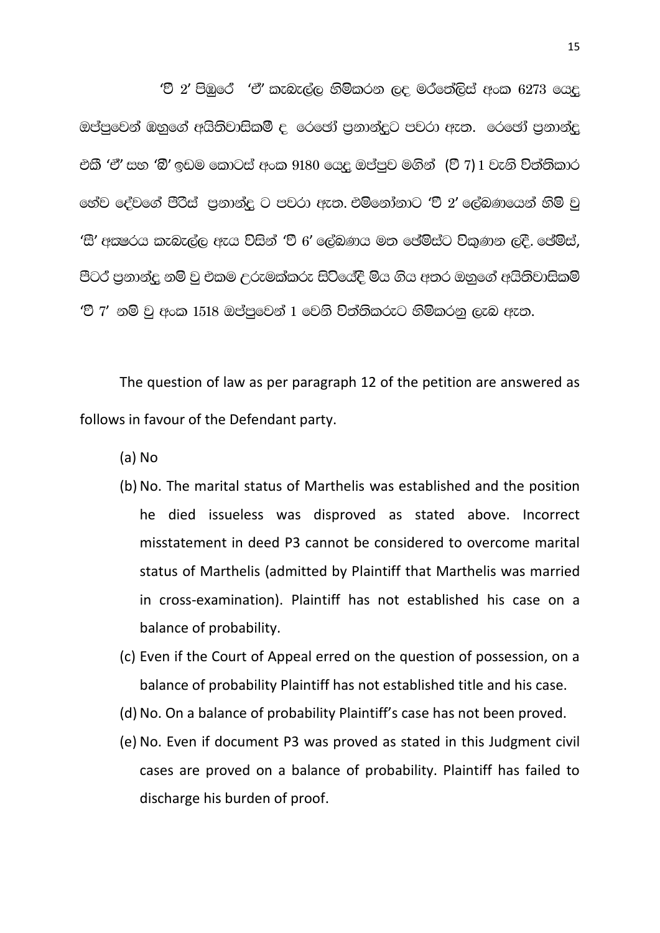'වී 2' පිඹුරේ 'ඒ' කැබැල්ල හිමිකරන ලද මරීනේලිස් අංක  $6273$  යෙදු ඔප්පුවෙන් ඔහුගේ අයිතිවාසිකමී ද, රෙජෝ පනාන්දට පවරා ඇත. රෙජෝ පනාන්ද එකී 'ඒ' සහ 'බී' ඉඩම කොටස් අංක 9180 යෙදු ඔප්පුව මගින් (වී 7) 1 වැනි විත්තිකාර <u>රෝව දේවගේ පීරිස් පුනාන්දු ට පවරා ඇත. එම්නෝනාට 'වී 2' ලේබණයෙන් හිමි වු</u> 'සී' අකුෂරය කැබැල්ල ඇය විසින් 'වී 6' ලේඛණය මත පේම්ස්ට විකුණන ලදි. ජේම්ස්, පීටර පුනාන්දු නම් වු එකම උරුමක්කරු සිටියේදී මිය ගිය අතර ඔහුගේ අයිතිවාසිකම් 'වී 7' නම් වු අංක 1518 ඔප්පුවෙන් 1 වෙනි විත්තිකරුට හිමිකරනු ලැබ ඇත.

The question of law as per paragraph 12 of the petition are answered as follows in favour of the Defendant party.

(a) No

- (b) No. The marital status of Marthelis was established and the position he died issueless was disproved as stated above. Incorrect misstatement in deed P3 cannot be considered to overcome marital status of Marthelis (admitted by Plaintiff that Marthelis was married in cross-examination). Plaintiff has not established his case on a balance of probability.
- (c) Even if the Court of Appeal erred on the question of possession, on a balance of probability Plaintiff has not established title and his case.
- (d)No. On a balance of probability Plaintiff's case has not been proved.
- (e) No. Even if document P3 was proved as stated in this Judgment civil cases are proved on a balance of probability. Plaintiff has failed to discharge his burden of proof.